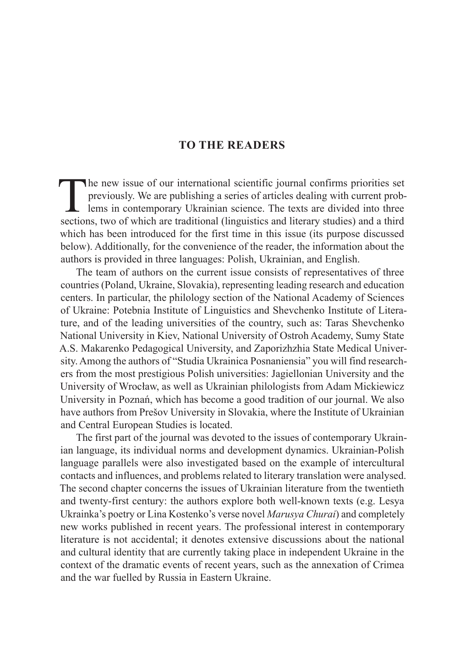## **TO THE READERS**

The new issue of our international scientific journal confirms priorities set<br>previously. We are publishing a series of articles dealing with current prob-<br>lems in contemporary Ukrainian science. The texts are divided into previously. We are publishing a series of articles dealing with current problems in contemporary Ukrainian science. The texts are divided into three sections, two of which are traditional (linguistics and literary studies) and a third which has been introduced for the first time in this issue (its purpose discussed below). Additionally, for the convenience of the reader, the information about the authors is provided in three languages: Polish, Ukrainian, and English.

The team of authors on the current issue consists of representatives of three countries (Poland, Ukraine, Slovakia), representing leading research and education centers. In particular, the philology section of the National Academy of Sciences of Ukraine: Potebnia Institute of Linguistics and Shevchenko Institute of Literature, and of the leading universities of the country, such as: Taras Shevchenko National University in Kiev, National University of Ostroh Academy, Sumy State A.S. Makarenko Pedagogical University, and Zaporizhzhia State Medical University. Among the authors of "Studia Ukrainica Posnaniensia" you will find researchers from the most prestigious Polish universities: Jagiellonian University and the University of Wrocław, as well as Ukrainian philologists from Adam Mickiewicz University in Poznań, which has become a good tradition of our journal. We also have authors from Prešov University in Slovakia, where the Institute of Ukrainian and Central European Studies is located.

The first part of the journal was devoted to the issues of contemporary Ukrainian language, its individual norms and development dynamics. Ukrainian-Polish language parallels were also investigated based on the example of intercultural contacts and influences, and problems related to literary translation were analysed. The second chapter concerns the issues of Ukrainian literature from the twentieth and twenty-first century: the authors explore both well-known texts (e.g. Lesya Ukrainka's poetry or Lina Kostenko's verse novel *Marusya Churai*) and completely new works published in recent years. The professional interest in contemporary literature is not accidental; it denotes extensive discussions about the national and cultural identity that are currently taking place in independent Ukraine in the context of the dramatic events of recent years, such as the annexation of Crimea and the war fuelled by Russia in Eastern Ukraine.